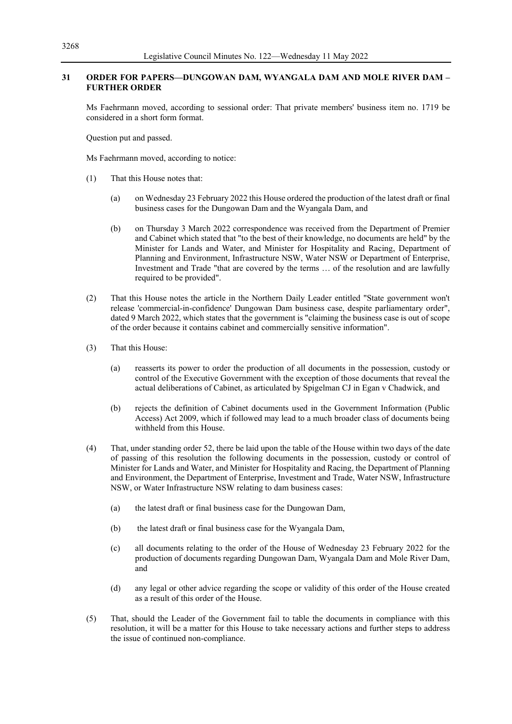## **31 ORDER FOR PAPERS—DUNGOWAN DAM, WYANGALA DAM AND MOLE RIVER DAM – FURTHER ORDER**

Ms Faehrmann moved, according to sessional order: That private members' business item no. 1719 be considered in a short form format.

Question put and passed.

Ms Faehrmann moved, according to notice:

- (1) That this House notes that:
	- (a) on Wednesday 23 February 2022 this House ordered the production of the latest draft or final business cases for the Dungowan Dam and the Wyangala Dam, and
	- (b) on Thursday 3 March 2022 correspondence was received from the Department of Premier and Cabinet which stated that "to the best of their knowledge, no documents are held" by the Minister for Lands and Water, and Minister for Hospitality and Racing, Department of Planning and Environment, Infrastructure NSW, Water NSW or Department of Enterprise, Investment and Trade "that are covered by the terms … of the resolution and are lawfully required to be provided".
- (2) That this House notes the article in the Northern Daily Leader entitled "State government won't release 'commercial-in-confidence' Dungowan Dam business case, despite parliamentary order", dated 9 March 2022, which states that the government is "claiming the business case is out of scope of the order because it contains cabinet and commercially sensitive information".
- (3) That this House:
	- (a) reasserts its power to order the production of all documents in the possession, custody or control of the Executive Government with the exception of those documents that reveal the actual deliberations of Cabinet, as articulated by Spigelman CJ in Egan v Chadwick, and
	- (b) rejects the definition of Cabinet documents used in the Government Information (Public Access) Act 2009, which if followed may lead to a much broader class of documents being withheld from this House.
- (4) That, under standing order 52, there be laid upon the table of the House within two days of the date of passing of this resolution the following documents in the possession, custody or control of Minister for Lands and Water, and Minister for Hospitality and Racing, the Department of Planning and Environment, the Department of Enterprise, Investment and Trade, Water NSW, Infrastructure NSW, or Water Infrastructure NSW relating to dam business cases:
	- (a) the latest draft or final business case for the Dungowan Dam,
	- (b) the latest draft or final business case for the Wyangala Dam,
	- (c) all documents relating to the order of the House of Wednesday 23 February 2022 for the production of documents regarding Dungowan Dam, Wyangala Dam and Mole River Dam, and
	- (d) any legal or other advice regarding the scope or validity of this order of the House created as a result of this order of the House.
- (5) That, should the Leader of the Government fail to table the documents in compliance with this resolution, it will be a matter for this House to take necessary actions and further steps to address the issue of continued non-compliance.